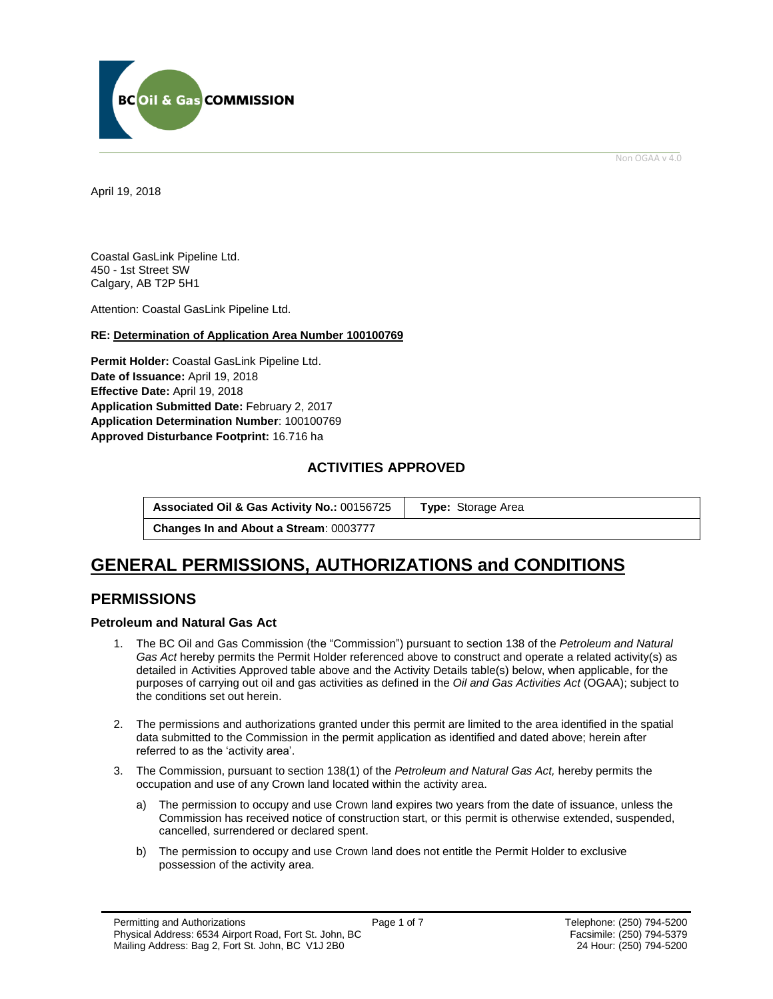

Non OGAA v 4.0

<span id="page-0-0"></span>April 19, 2018

Coastal GasLink Pipeline Ltd. 450 - 1st Street SW Calgary, AB T2P 5H1

Attention: Coastal GasLink Pipeline Ltd.

### **RE: Determination of Application Area Number 100100769**

**Permit Holder:** Coastal GasLink Pipeline Ltd. **Date of Issuance:** April 19, 2018 **Effective Date:** April 19, 2018 **Application Submitted Date:** February 2, 2017 **Application Determination Number**: 100100769 **[Approved Disturbance Footprint:](#page-0-0)** 16.716 ha

# **ACTIVITIES APPROVED**

**Associated Oil & Gas Activity No.:** 00156725 **[Type:](https://bi.bcogc.ca/Application%20Processing/Interactive%20Reports/(BIL-041)%20AMS%20Decision%20Summary.aspx)** Storage Area

**Changes In and About a Stream**: 0003777

# **GENERAL [PERMISSIONS,](#page-0-0) AUTHORIZATIONS and CONDITIONS**

# **PERMISSIONS**

# **Petroleum and Natural Gas Act**

- 1. The BC Oil and Gas Commission (the "Commission") pursuant to section 138 of the *Petroleum and Natural Gas Act* hereby permits the Permit Holder referenced above to construct and operate a related activity(s) as detailed in Activities Approved table above and the Activity Details table(s) below, when applicable, for the purposes of carrying out oil and gas activities as defined in the *Oil and Gas Activities Act* (OGAA); subject to the conditions set out herein.
- 2. The [permissions](#page-0-0) and authorizations granted under this permit are limited to the area identified in the spatial data submitted to the Commission in the permit application as identified and dated above; herein after referred to as the 'activity area'.
- 3. The Commission, pursuant to section 138(1) of the *Petroleum and Natural Gas Act,* hereby permits the occupation and use of any Crown land located within the activity area.
	- a) The permission to occupy and use Crown land expires two years from the date of issuance, unless the Commission has received notice of construction start, or this permit is otherwise extended, suspended, cancelled, surrendered or declared spent.
	- b) The permission to occupy and use Crown land does not entitle the Permit Holder to exclusive possession of the activity area.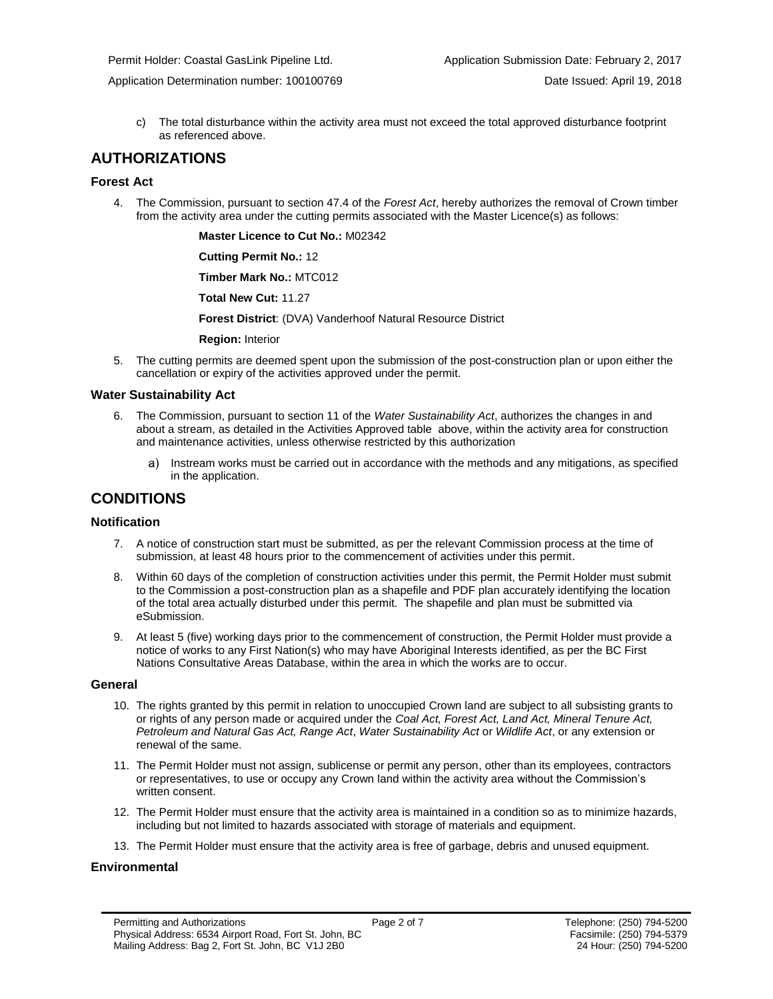c) The total disturbance within the activity area must not exceed the total approved disturbance footprint as referenced above.

# **AUTHORIZATIONS**

# **Forest Act**

4. The Commission, pursuant to section 47.4 of the *Forest Act*, hereby [authorizes](#page-0-0) the removal of Crown timber from the activity area under the cutting permits associated with the Master Licence(s) as follows:

**Master Licence to Cut No.:** M02342

**Cutting Permit No.:** 12

**Timber Mark No.:** MTC012

**Total New Cut:** 11.27

**[Forest District](https://ams-crd.bcogc.ca/crd/)**: (DVA) Vanderhoof Natural Resource District

**Region:** Interior

5. The cutting permits are deemed spent upon the submission of the post-construction plan or upon either the cancellation or expiry of the activities [approve](#page-0-0)d under the permit.

### **Water Sustainability Act**

- 6. The Commission, pursuant to section 11 of the *Water Sustainability Act*[, authorizes](#page-0-0) the changes in and about a stream, as detailed in the Activities Approved table above, within the activity area for construction and maintenance activities, unless otherwise restricted by this [authorization](#page-0-0)
	- a) Instream works must be carried out in accordance with the methods and any mitigations, as specified in the application.

# **CONDITIONS**

# **Notification**

- 7. A notice of construction start must be submitted, as per the relevant Commission process at the time of submission, at least 48 hours prior to the commencement of activities under this permit.
- 8. Within 60 days of the completion of construction activities under this permit, the Permit Holder must submit to the Commission a post-construction plan as a shapefile and PDF plan accurately identifying the location of the total area actually disturbed under this permit. The shapefile and plan must be submitted via eSubmission.
- 9. At least 5 (five) working days prior to the commencement of construction, the Permit Holder must provide a notice of works to any First Nation(s) who may have Aboriginal Interests identified, as per the BC First Nations Consultative Areas Database, within the area in which the works are to occur.

#### **General**

- 10. The rights granted by this permit in relation to unoccupied Crown land are subject to all subsisting grants to or rights of any person made or acquired under the *Coal Act, Forest Act, Land Act, Mineral Tenure Act, Petroleum and Natural Gas Act, Range Act*, *Water Sustainability Act* or *Wildlife Act*, or any extension or renewal of the same.
- 11. The Permit Holder must not assign, sublicense or permit any person, other than its employees, contractors or representatives, to use or occupy any Crown land within the activity area without the Commission's written consent.
- 12. The Permit Holder must ensure that the activity area is maintained in a condition so as to minimize hazards, including but not limited to hazards associated with storage of materials and equipment.
- 13. The Permit Holder must ensure that the activity area is free of garbage, debris and unused equipment.

# **Environmental**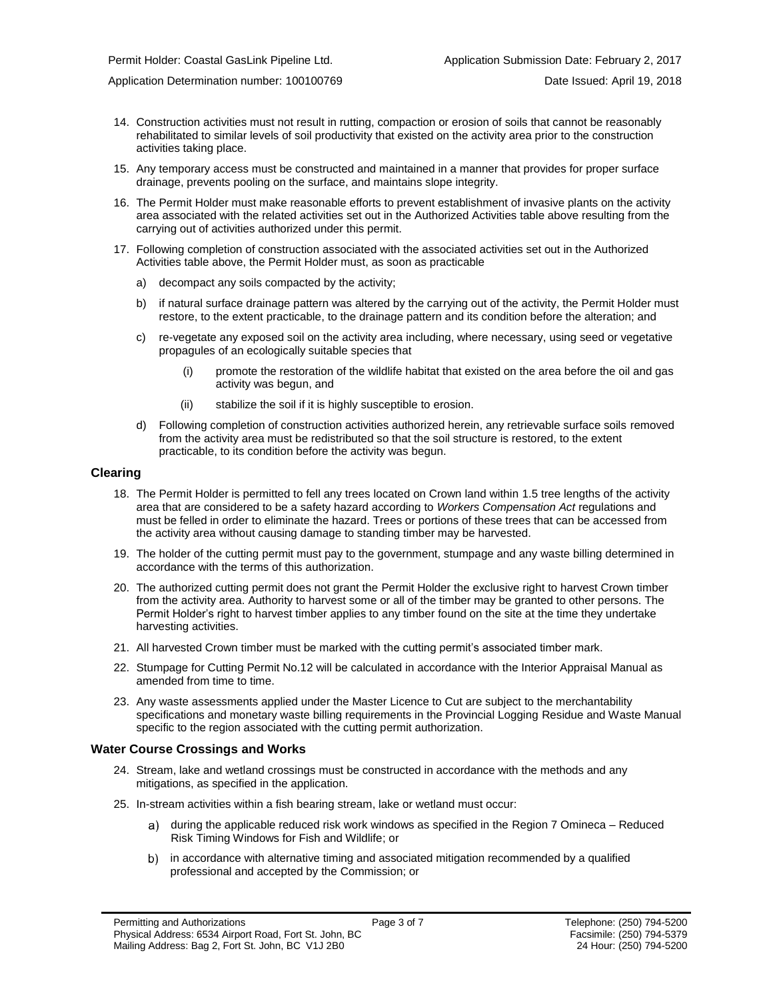- 14. Construction activities must not result in rutting, compaction or erosion of soils that cannot be reasonably rehabilitated to similar levels of soil productivity that existed on the activity area prior to the construction activities taking place.
- 15. Any temporary access must be constructed and maintained in a manner that provides for proper surface drainage, prevents pooling on the surface, and maintains slope integrity.
- 16. The Permit Holder must make reasonable efforts to prevent establishment of invasive plants on the activity area associated with the related activities set out in the Authorized Activities table above resulting from the carrying out of activities authorized under this permit.
- 17. Following completion of construction associated with the associated activities set out in the Authorized Activities table above, the Permit Holder must, as soon as practicable
	- a) decompact any soils compacted by the activity;
	- b) if natural surface drainage pattern was altered by the carrying out of the activity, the Permit Holder must restore, to the extent practicable, to the drainage pattern and its condition before the alteration; and
	- c) re-vegetate any exposed soil on the activity area including, where necessary, using seed or vegetative propagules of an ecologically suitable species that
		- (i) promote the restoration of the wildlife habitat that existed on the area before the oil and gas activity was begun, and
		- (ii) stabilize the soil if it is highly susceptible to erosion.
	- d) Following completion of construction activities authorized herein, any retrievable surface soils removed from the activity area must be redistributed so that the soil structure is restored, to the extent practicable, to its condition before the activity was begun.

#### **Clearing**

- 18. The Permit Holder is permitted to fell any trees located on Crown land within 1.5 tree lengths of the activity area that are considered to be a safety hazard according to *Workers Compensation Act* regulations and must be felled in order to eliminate the hazard. Trees or portions of these trees that can be accessed from the activity area without causing damage to standing timber may be harvested.
- 19. The holder of the cutting permit must pay to the government, stumpage and any waste billing determined in accordance with the terms of this [authorization.](#page-0-0)
- 20. The [authorized](#page-0-0) cutting permit does not grant the Permit Holder the exclusive right to harvest Crown timber from the activity area. Authority to harvest some or all of the timber may be granted to other persons. The Permit Holder's right to harvest timber applies to any timber found on the site at the time they undertake harvesting activities.
- 21. All harvested Crown timber must be marked with the cutting permit's associated timber mark.
- 22. Stumpage for Cutting Permit No.12 will be calculated in accordance with the Interior Appraisal Manual as amended from time to time.
- 23. Any waste assessments applied under the Master Licence to Cut are subject to the merchantability specifications and monetary waste billing requirements in the Provincial Logging Residue and Waste Manual specific to the region associated with the cutting permi[t authorization.](#page-0-0)

#### **Water Course Crossings and Works**

- 24. Stream, lake and wetland crossings must be constructed in accordance with the methods and any mitigations, as specified in the application.
- 25. In-stream activities within a fish bearing stream, lake or wetland must occur:
	- a) [during the applicable reduced risk work windows as specified in the](#page-0-0) Region 7 Omineca Reduced Risk Timing Windows for Fish and Wildlife; or
	- b) in accordance with alternative timing and associated mitigation recommended by a qualified professional and accepted b[y the](#page-0-0) Commission; or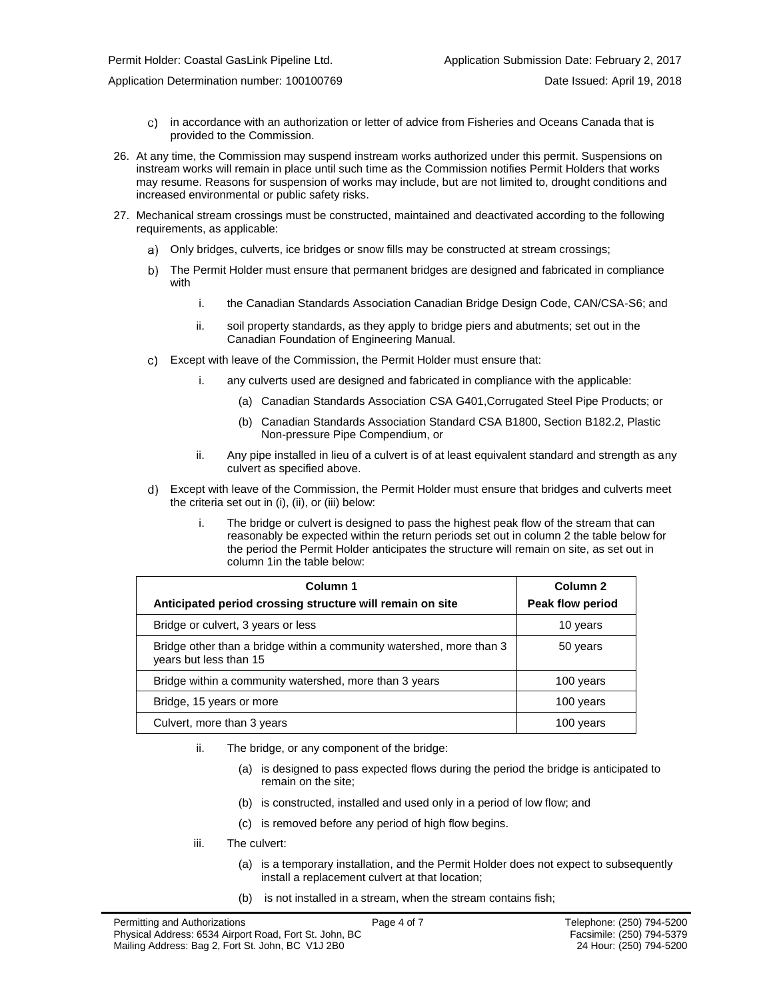- $\mathbf{C}$ in accordance with an authorization or letter of advice from Fisheries and Oceans Canada that is provided to the Commission.
- 26. At any time, the Commission may suspend instream works [authorized](#page-0-0) under this permit. Suspensions on instream works will remain in place until such time as the Commission notifies Permit Holders that works may resume. Reasons for suspension of works may include, but are not limited to, drought conditions and increased environmental or public safety risks.
- 27. Mechanical stream crossings must be constructed, maintained and deactivated according to the following requirements, as applicable:
	- Only bridges, culverts, ice bridges or snow fills may be constructed at stream crossings;
	- b) The Permit Holder must ensure that permanent bridges are designed and fabricated in compliance with
		- i. the Canadian Standards Association Canadian Bridge Design Code, CAN/CSA-S6; and
		- ii. soil property standards, as they apply to bridge piers and abutments; set out in the Canadian Foundation of Engineering Manual.
	- Except with leave of the Commission, the Permit Holder must ensure that:
		- i. any culverts used are designed and fabricated in compliance with the applicable:
			- (a) Canadian Standards Association CSA G401,Corrugated Steel Pipe Products; or
			- (b) Canadian Standards Association Standard CSA B1800, Section B182.2, Plastic Non-pressure Pipe Compendium, or
		- ii. Any pipe installed in lieu of a culvert is of at least equivalent standard and strength as any culvert as specified above.
	- Except with leave of the Commission, the Permit Holder must ensure that bridges and culverts meet the criteria set out in (i), (ii), or (iii) below:
		- i. The bridge or culvert is designed to pass the highest peak flow of the stream that can reasonably be expected within the return periods set out in column 2 the table below for the period the Permit Holder anticipates the structure will remain on site, as set out in column 1in the table below:

| Column 1                                                                                       | Column <sub>2</sub> |
|------------------------------------------------------------------------------------------------|---------------------|
| Anticipated period crossing structure will remain on site                                      | Peak flow period    |
| Bridge or culvert, 3 years or less                                                             | 10 years            |
| Bridge other than a bridge within a community watershed, more than 3<br>years but less than 15 | 50 years            |
| Bridge within a community watershed, more than 3 years                                         | 100 years           |
| Bridge, 15 years or more                                                                       | 100 years           |
| Culvert, more than 3 years                                                                     | 100 years           |

- ii. The bridge, or any component of the bridge:
	- (a) is designed to pass expected flows during the period the bridge is anticipated to remain on the site;
	- (b) is constructed, installed and used only in a period of low flow; and
	- (c) is removed before any period of high flow begins.
- iii. The culvert:
	- (a) is a temporary installation, and the Permit Holder does not expect to subsequently install a replacement culvert at that location;
	- (b) is not installed in a stream, when the stream contains fish;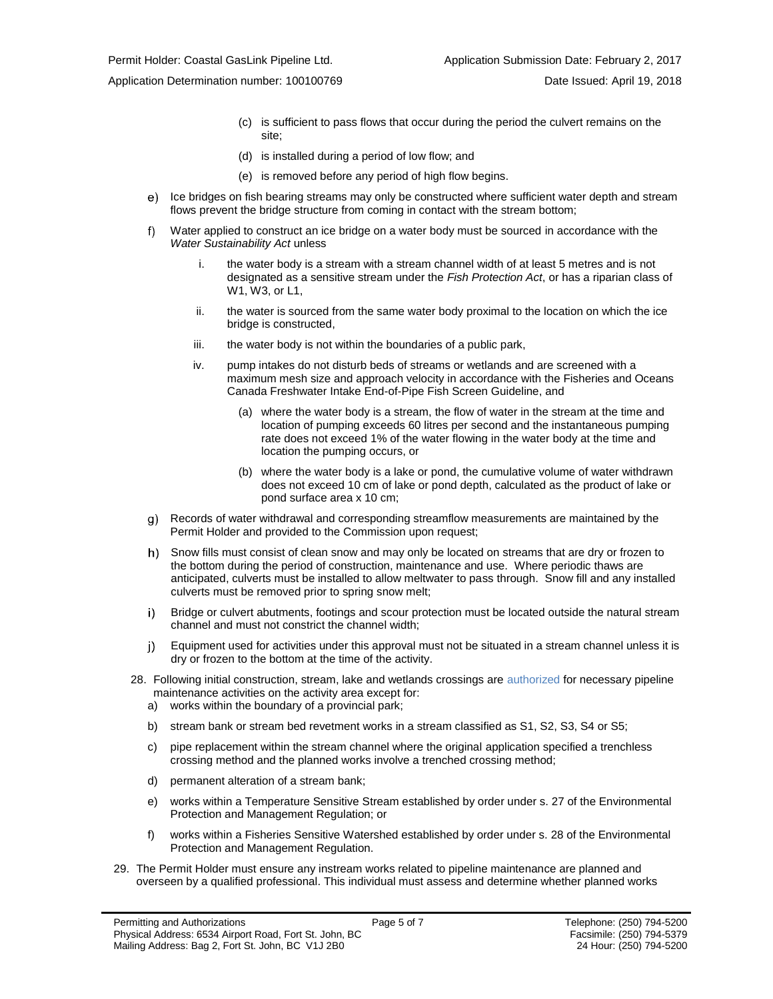- (c) is sufficient to pass flows that occur during the period the culvert remains on the site;
- (d) is installed during a period of low flow; and
- (e) is removed before any period of high flow begins.
- e) Ice bridges on fish bearing streams may only be constructed where sufficient water depth and stream flows prevent the bridge structure from coming in contact with the stream bottom;
- Water applied to construct an ice bridge on a water body must be sourced in accordance with the  $f$ ) *Water Sustainability Act* unless
	- i. the water body is a stream with a stream channel width of at least 5 metres and is not designated as a sensitive stream under the *Fish Protection Act*, or has a riparian class of W1, W3, or L1,
	- ii. the water is sourced from the same water body proximal to the location on which the ice bridge is constructed,
	- iii. the water body is not within the boundaries of a public park,
	- iv. pump intakes do not disturb beds of streams or wetlands and are screened with a maximum mesh size and approach velocity in accordance with the Fisheries and Oceans Canada Freshwater Intake End-of-Pipe Fish Screen Guideline, and
		- (a) where the water body is a stream, the flow of water in the stream at the time and location of pumping exceeds 60 litres per second and the instantaneous pumping rate does not exceed 1% of the water flowing in the water body at the time and location the pumping occurs, or
		- (b) where the water body is a lake or pond, the cumulative volume of water withdrawn does not exceed 10 cm of lake or pond depth, calculated as the product of lake or pond surface area x 10 cm;
- Records of water withdrawal and corresponding streamflow measurements are maintained by the Permit Holder and provided to the Commission upon request;
- h) Snow fills must consist of clean snow and may only be located on streams that are dry or frozen to the bottom during the period of construction, maintenance and use. Where periodic thaws are anticipated, culverts must be installed to allow meltwater to pass through. Snow fill and any installed culverts must be removed prior to spring snow melt;
- i). Bridge or culvert abutments, footings and scour protection must be located outside the natural stream channel and must not constrict the channel width;
- $j$ ) Equipment used for activities under this approval must not be situated in a stream channel unless it is dry or frozen to the bottom at the time of the activity.
- 28. Following initial construction, stream, lake and wetlands crossings are authorized for necessary pipeline maintenance activities on the activity area except for:
	- a) works within the boundary of a provincial park;
	- b) stream bank or stream bed revetment works in a stream classified as S1, S2, S3, S4 or S5;
	- c) pipe replacement within the stream channel where the original application specified a trenchless crossing method and the planned works involve a trenched crossing method;
	- d) permanent alteration of a stream bank;
	- e) works within a Temperature Sensitive Stream established by order under s. 27 of the Environmental Protection and Management Regulation; or
	- f) works within a Fisheries Sensitive Watershed established by order under s. 28 of the Environmental Protection and Management Regulation.
- 29. The Permit Holder must ensure any instream works related to pipeline maintenance are planned and overseen by a qualified professional. This individual must assess and determine whether planned works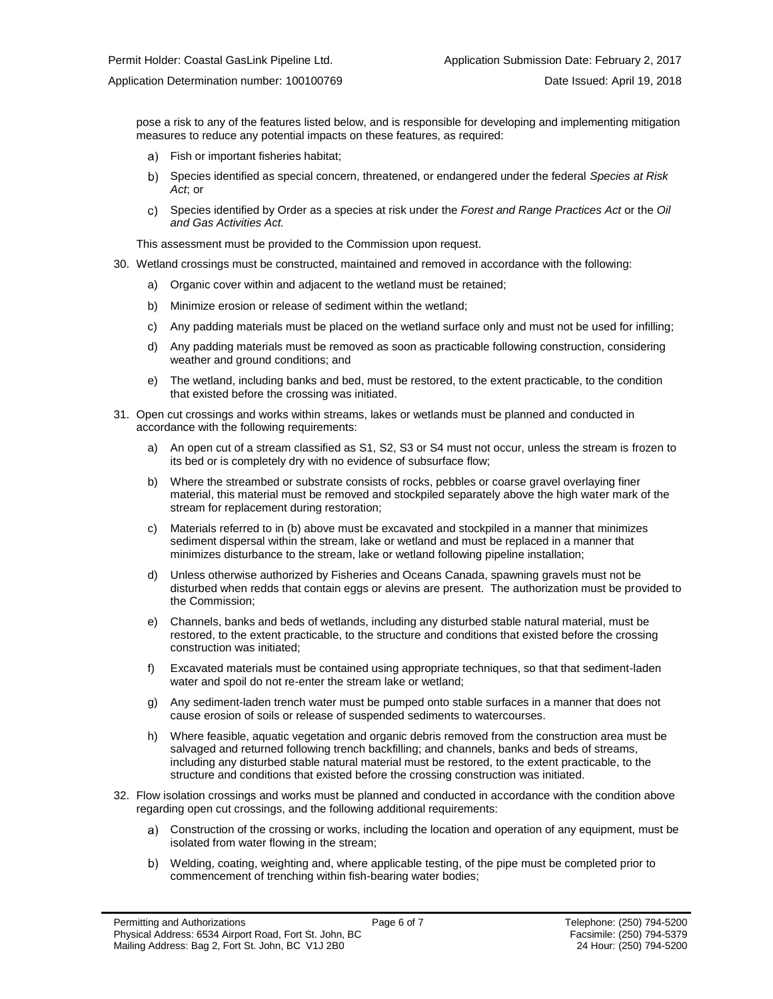pose a risk to any of the features listed below, and is responsible for developing and implementing mitigation measures to reduce any potential impacts on these features, as required:

- Fish or important fisheries habitat;
- b) Species identified as special concern, threatened, or endangered under the federal *Species at Risk Act*; or
- Species identified by Order as a species at risk under the *Forest and Range Practices Act* or the *Oil*  c) *and Gas Activities Act.*

This assessment must be provided to the Commission upon request.

- 30. Wetland crossings must be constructed, maintained and removed in accordance with the following:
	- a) Organic cover within and adjacent to the wetland must be retained;
	- b) Minimize erosion or release of sediment within the wetland;
	- c) Any padding materials must be placed on the wetland surface only and must not be used for infilling;
	- d) Any padding materials must be removed as soon as practicable following construction, considering weather and ground conditions; and
	- e) The wetland, including banks and bed, must be restored, to the extent practicable, to the condition that existed before the crossing was initiated.
- 31. Open cut crossings and works within streams, lakes or wetlands must be planned and conducted in accordance with the following requirements:
	- a) An open cut of a stream classified as S1, S2, S3 or S4 must not occur, unless the stream is frozen to its bed or is completely dry with no evidence of subsurface flow;
	- b) Where the streambed or substrate consists of rocks, pebbles or coarse gravel overlaying finer material, this material must be removed and stockpiled separately above the high water mark of the stream for replacement during restoration;
	- c) Materials referred to in (b) above must be excavated and stockpiled in a manner that minimizes sediment dispersal within the stream, lake or wetland and must be replaced in a manner that minimizes disturbance to the stream, lake or wetland following pipeline installation;
	- d) Unless otherwise authorized by Fisheries and Oceans Canada, spawning gravels must not be disturbed when redds that contain eggs or alevins are present. The authorization must be provided to the Commission;
	- e) Channels, banks and beds of wetlands, including any disturbed stable natural material, must be restored, to the extent practicable, to the structure and conditions that existed before the crossing construction was initiated;
	- f) Excavated materials must be contained using appropriate techniques, so that that sediment-laden water and spoil do not re-enter the stream lake or wetland;
	- g) Any sediment-laden trench water must be pumped onto stable surfaces in a manner that does not cause erosion of soils or release of suspended sediments to watercourses.
	- h) Where feasible, aquatic vegetation and organic debris removed from the construction area must be salvaged and returned following trench backfilling; and channels, banks and beds of streams, including any disturbed stable natural material must be restored, to the extent practicable, to the structure and conditions that existed before the crossing construction was initiated.
- 32. Flow isolation crossings and works must be planned and conducted in accordance with the condition above regarding open cut crossings, and the following additional requirements:
	- Construction of the crossing or works, including the location and operation of any equipment, must be isolated from water flowing in the stream;
	- Welding, coating, weighting and, where applicable testing, of the pipe must be completed prior to commencement of trenching within fish-bearing water bodies;